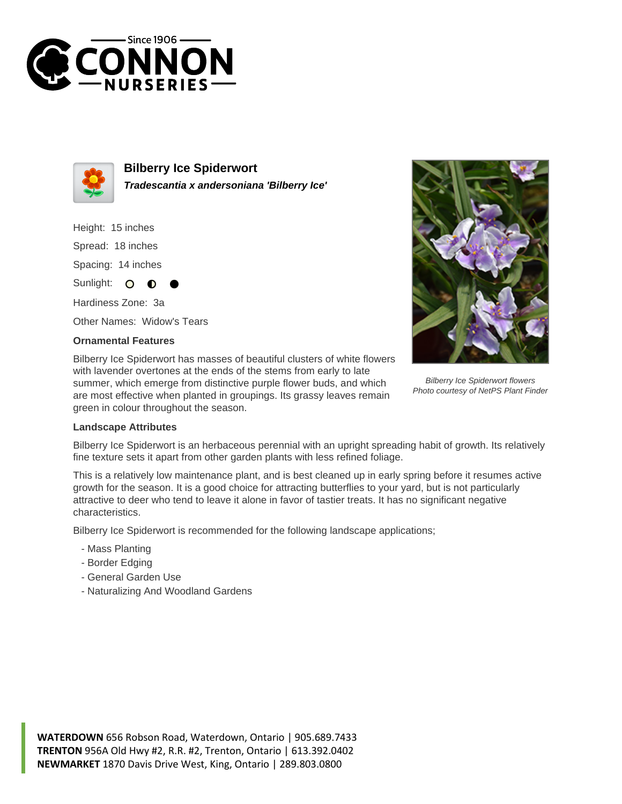



**Bilberry Ice Spiderwort Tradescantia x andersoniana 'Bilberry Ice'**

Height: 15 inches Spread: 18 inches Spacing: 14 inches Sunlight: O Hardiness Zone: 3a

Other Names: Widow's Tears

## **Ornamental Features**

Bilberry Ice Spiderwort has masses of beautiful clusters of white flowers with lavender overtones at the ends of the stems from early to late summer, which emerge from distinctive purple flower buds, and which are most effective when planted in groupings. Its grassy leaves remain green in colour throughout the season.



Bilberry Ice Spiderwort flowers Photo courtesy of NetPS Plant Finder

## **Landscape Attributes**

Bilberry Ice Spiderwort is an herbaceous perennial with an upright spreading habit of growth. Its relatively fine texture sets it apart from other garden plants with less refined foliage.

This is a relatively low maintenance plant, and is best cleaned up in early spring before it resumes active growth for the season. It is a good choice for attracting butterflies to your yard, but is not particularly attractive to deer who tend to leave it alone in favor of tastier treats. It has no significant negative characteristics.

Bilberry Ice Spiderwort is recommended for the following landscape applications;

- Mass Planting
- Border Edging
- General Garden Use
- Naturalizing And Woodland Gardens

**WATERDOWN** 656 Robson Road, Waterdown, Ontario | 905.689.7433 **TRENTON** 956A Old Hwy #2, R.R. #2, Trenton, Ontario | 613.392.0402 **NEWMARKET** 1870 Davis Drive West, King, Ontario | 289.803.0800